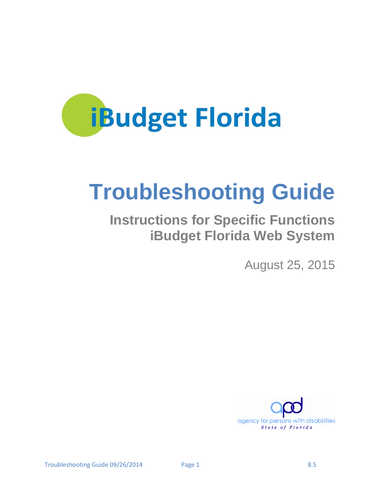<span id="page-0-0"></span>

# **Troubleshooting Guide**

## **Instructions for Specific Functions iBudget Florida Web System**

August 25, 2015

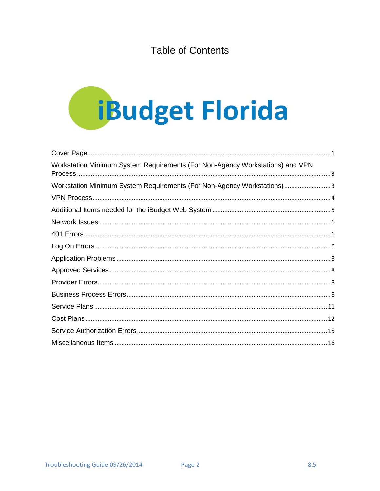## **Table of Contents**



| Workstation Minimum System Requirements (For Non-Agency Workstations) and VPN |  |
|-------------------------------------------------------------------------------|--|
| Workstation Minimum System Requirements (For Non-Agency Workstations)3        |  |
|                                                                               |  |
|                                                                               |  |
|                                                                               |  |
|                                                                               |  |
|                                                                               |  |
|                                                                               |  |
|                                                                               |  |
|                                                                               |  |
|                                                                               |  |
|                                                                               |  |
|                                                                               |  |
|                                                                               |  |
|                                                                               |  |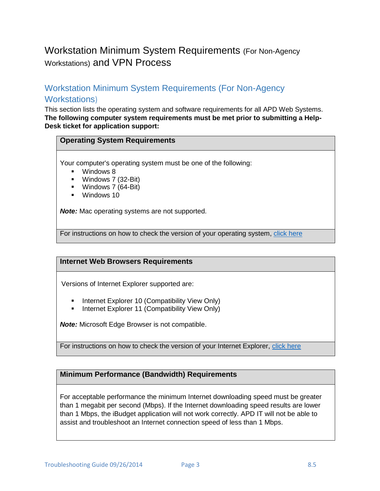## <span id="page-2-0"></span>Workstation Minimum System Requirements (For Non-Agency Workstations) and VPN Process

## <span id="page-2-1"></span>Workstation Minimum System Requirements (For Non-Agency Workstations)

This section lists the operating system and software requirements for all APD Web Systems. **The following computer system requirements must be met prior to submitting a Help-Desk ticket for application support:**

## **Operating System Requirements**

Your computer's operating system must be one of the following:

- **Windows 8**
- **Windows 7 (32-Bit)**
- Windows 7 (64-Bit)
- Windows 10

*Note:* Mac operating systems are not supported.

For instructions on how to check the version of your operating system, [click here](http://windows.microsoft.com/is-IS/windows7/help/which-version-of-the-windows-operating-system-am-i-running)

### **Internet Web Browsers Requirements**

Versions of Internet Explorer supported are:

- **Internet Explorer 10 (Compatibility View Only)**
- **Internet Explorer 11 (Compatibility View Only)**

*Note:* Microsoft Edge Browser is not compatible.

For instructions on how to check the version of your Internet Explorer, [click here](http://windows.microsoft.com/en-US/windows-vista/Find-out-which-version-of-Internet-Explorer-youre-using)

## **Minimum Performance (Bandwidth) Requirements**

For acceptable performance the minimum Internet downloading speed must be greater than 1 megabit per second (Mbps). If the Internet downloading speed results are lower than 1 Mbps, the iBudget application will not work correctly. APD IT will not be able to assist and troubleshoot an Internet connection speed of less than 1 Mbps.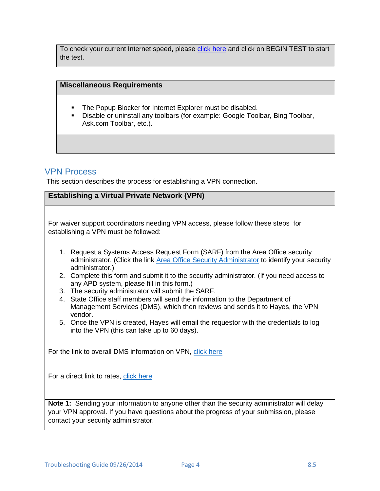To check your current Internet speed, please [click here](http://www.speedtest.net/) and click on BEGIN TEST to start the test.

## **Miscellaneous Requirements**

- **The Popup Blocker for Internet Explorer must be disabled.**
- Disable or uninstall any toolbars (for example: Google Toolbar, Bing Toolbar, Ask.com Toolbar, etc.).

## <span id="page-3-0"></span>VPN Process

This section describes the process for establishing a VPN connection.

## **Establishing a Virtual Private Network (VPN)**

For waiver support coordinators needing VPN access, please follow these steps for establishing a VPN must be followed:

- 1. Request a Systems Access Request Form (SARF) from the Area Office security administrator. (Click the link [Area Office Security Administrator](http://intranet.apd.myflorida.com/it/it-forms/sarf-coordinator.pdf) to identify your security administrator.)
- 2. Complete this form and submit it to the security administrator. (If you need access to any APD system, please fill in this form.)
- 3. The security administrator will submit the SARF.
- 4. State Office staff members will send the information to the Department of Management Services (DMS), which then reviews and sends it to Hayes, the VPN vendor.
- 5. Once the VPN is created, Hayes will email the requestor with the credentials to log into the VPN (this can take up to 60 days).

For the link to overall DMS information on VPN, [click here](http://www.dms.myflorida.com/suncom/suncom_products_and_pricing/remote_access/virtual_private_network_vpn_services/wireless_vpn/rate_schedule)

For a direct link to rates, [click here](http://www.dms.myflorida.com/suncom/suncom_products_and_pricing/remote_access/virtual_private_network_vpn_services/wireless_vpn/rate_schedule)

**Note 1:** Sending your information to anyone other than the security administrator will delay your VPN approval. If you have questions about the progress of your submission, please contact your security administrator.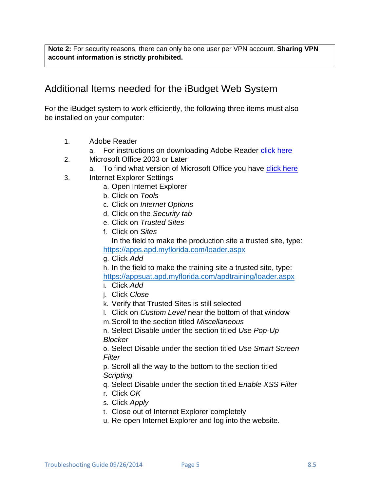**Note 2:** For security reasons, there can only be one user per VPN account. **Sharing VPN account information is strictly prohibited.**

## <span id="page-4-0"></span>Additional Items needed for the iBudget Web System

For the iBudget system to work efficiently, the following three items must also be installed on your computer:

- 1. Adobe Reader
	- a. For instructions on downloading Adobe Reader [click here](http://get.adobe.com/reader/)
- 2. Microsoft Office 2003 or Later
	- a. To find what version of Microsoft Office you have [click here](http://office.microsoft.com/en-us/excel-help/what-version-of-office-am-i-using-HA101873769.aspx)
- 3. Internet Explorer Settings
	- a. Open Internet Explorer
	- b. Click on *Tools*
	- c. Click on *Internet Options*
	- d. Click on the *Security tab*
	- e. Click on *Trusted Sites*
	- f. Click on *Sites* In the field to make the production site a trusted site, type: <https://apps.apd.myflorida.com/loader.aspx>
	- g. Click *Add*

h. In the field to make the training site a trusted site, type:

<https://appsuat.apd.myflorida.com/apdtraining/loader.aspx>

- i. Click *Add*
- j. Click *Close*
- k. Verify that Trusted Sites is still selected
- l. Click on *Custom Level* near the bottom of that window
- m.Scroll to the section titled *Miscellaneous*

n. Select Disable under the section titled *Use Pop-Up Blocker* 

o. Select Disable under the section titled *Use Smart Screen Filter* 

p. Scroll all the way to the bottom to the section titled *Scripting*

q. Select Disable under the section titled *Enable XSS Filter*

- r. Click *OK*
- s. Click *Apply*
- t. Close out of Internet Explorer completely
- u. Re-open Internet Explorer and log into the website.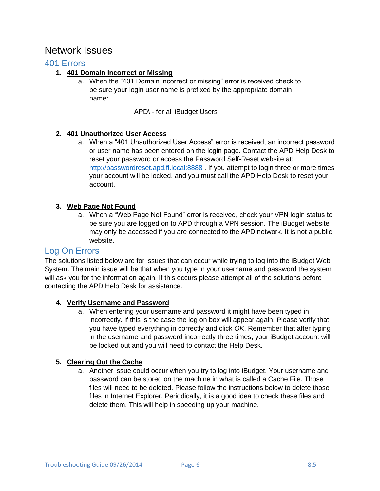## <span id="page-5-0"></span>Network Issues

## <span id="page-5-1"></span>401 Errors

## **1. 401 Domain Incorrect or Missing**

a. When the "401 Domain incorrect or missing" error is received check to be sure your login user name is prefixed by the appropriate domain name:

APD\ - for all iBudget Users

## **2. 401 Unauthorized User Access**

a. When a "401 Unauthorized User Access" error is received, an incorrect password or user name has been entered on the login page. Contact the APD Help Desk to reset your password or access the Password Self-Reset website at: [http://passwordreset.apd.fl.local:8888](http://passwordreset.apd.fl.local:8888/). If you attempt to login three or more times your account will be locked, and you must call the APD Help Desk to reset your account.

## **3. Web Page Not Found**

a. When a "Web Page Not Found" error is received, check your VPN login status to be sure you are logged on to APD through a VPN session. The iBudget website may only be accessed if you are connected to the APD network. It is not a public website.

## <span id="page-5-2"></span>Log On Errors

The solutions listed below are for issues that can occur while trying to log into the iBudget Web System. The main issue will be that when you type in your username and password the system will ask you for the information again. If this occurs please attempt all of the solutions before contacting the APD Help Desk for assistance.

## **4. Verify Username and Password**

a. When entering your username and password it might have been typed in incorrectly. If this is the case the log on box will appear again. Please verify that you have typed everything in correctly and click *OK*. Remember that after typing in the username and password incorrectly three times, your iBudget account will be locked out and you will need to contact the Help Desk.

## **5. Clearing Out the Cache**

a. Another issue could occur when you try to log into iBudget. Your username and password can be stored on the machine in what is called a Cache File. Those files will need to be deleted. Please follow the instructions below to delete those files in Internet Explorer. Periodically, it is a good idea to check these files and delete them. This will help in speeding up your machine.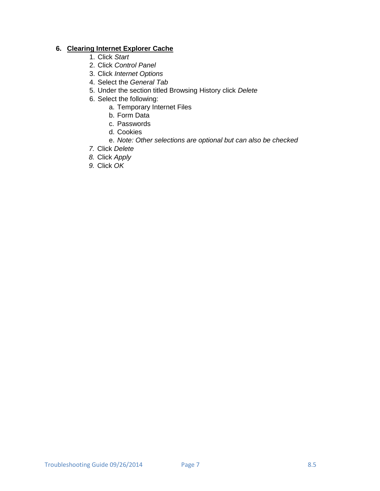## **6. Clearing Internet Explorer Cache**

- 1. Click *Start*
- 2. Click *Control Panel*
- 3. Click *Internet Options*
- 4. Select the *General Tab*
- 5. Under the section titled Browsing History click *Delete*
- 6. Select the following:
	- a. Temporary Internet Files
	- b. Form Data
	- c. Passwords
	- d. Cookies
	- e. *Note: Other selections are optional but can also be checked*
- *7.* Click *Delete*
- *8.* Click *Apply*
- *9.* Click *OK*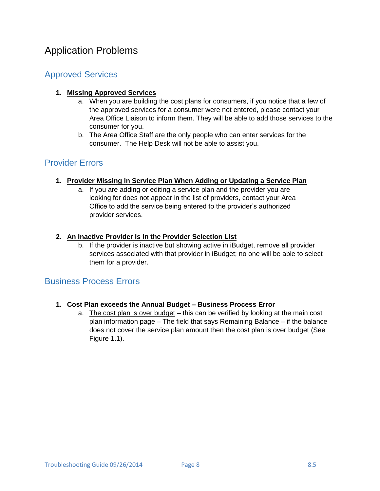## <span id="page-7-0"></span>Application Problems

## <span id="page-7-1"></span>Approved Services

## **1. Missing Approved Services**

- a. When you are building the cost plans for consumers, if you notice that a few of the approved services for a consumer were not entered, please contact your Area Office Liaison to inform them. They will be able to add those services to the consumer for you.
- b. The Area Office Staff are the only people who can enter services for the consumer. The Help Desk will not be able to assist you.

## <span id="page-7-2"></span>Provider Errors

## **1. Provider Missing in Service Plan When Adding or Updating a Service Plan**

a. If you are adding or editing a service plan and the provider you are looking for does not appear in the list of providers, contact your Area Office to add the service being entered to the provider's authorized provider services.

## **2. An Inactive Provider Is in the Provider Selection List**

b. If the provider is inactive but showing active in iBudget, remove all provider services associated with that provider in iBudget; no one will be able to select them for a provider.

## <span id="page-7-3"></span>Business Process Errors

## **1. Cost Plan exceeds the Annual Budget – Business Process Error**

a. The cost plan is over budget – this can be verified by looking at the main cost plan information page – The field that says Remaining Balance – if the balance does not cover the service plan amount then the cost plan is over budget (See Figure 1.1).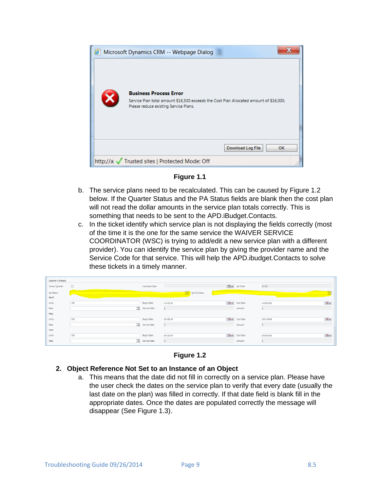

**Figure 1.1**

- b. The service plans need to be recalculated. This can be caused by Figure 1.2 below. If the Quarter Status and the PA Status fields are blank then the cost plan will not read the dollar amounts in the service plan totals correctly. This is something that needs to be sent to the APD.iBudget.Contacts.
- c. In the ticket identify which service plan is not displaying the fields correctly (most of the time it is the one for the same service the WAIVER SERVICE COORDINATOR (WSC) is trying to add/edit a new service plan with a different provider). You can identify the service plan by giving the provider name and the Service Code for that service. This will help the APD.ibudget.Contacts to solve these tickets in a timely manner.

| <b>Quarter 4 Details</b> |                                  |                   |                   |                      |                 |           |                      |
|--------------------------|----------------------------------|-------------------|-------------------|----------------------|-----------------|-----------|----------------------|
| Cancel Quarter           | $\Box$                           | Canceled Date     |                   | $\blacksquare$       | Q4 Total        | \$0.00    |                      |
| Q4 Status                |                                  |                   | M<br>Q4 PA Status |                      |                 |           |                      |
| April                    |                                  |                   |                   |                      |                 |           |                      |
| Units                    | $\overline{\phantom{a}}$<br>1.00 | <b>Begin Date</b> | 4/1/2016          | $\overline{\bullet}$ | <b>End Date</b> | 4/30/2016 | $\overline{\bullet}$ |
| Rate                     | $\Box$                           | Service Rate      |                   |                      | Amount          |           |                      |
| May                      |                                  |                   |                   |                      |                 |           |                      |
| Units                    | 1.00                             | <b>Begin Date</b> | 5/1/2016          | $\overline{\bullet}$ | <b>End Date</b> | 5/31/2016 | $\overline{\bullet}$ |
| Rate                     | $\Box$                           | Service Rate      |                   |                      | Amount          |           |                      |
| June                     |                                  |                   |                   |                      |                 |           |                      |
| Units                    | -<br>1.00                        | <b>Begin Date</b> | 6/1/2016          | <b>TOV</b>           | <b>End Date</b> | 6/30/2016 | $\overline{10}$      |
| Rate                     | $\Box$                           | Service Rate      |                   |                      | Amount          |           |                      |
|                          |                                  |                   |                   |                      |                 |           |                      |

**Figure 1.2**

### **2. Object Reference Not Set to an Instance of an Object**

a. This means that the date did not fill in correctly on a service plan. Please have the user check the dates on the service plan to verify that every date (usually the last date on the plan) was filled in correctly. If that date field is blank fill in the appropriate dates. Once the dates are populated correctly the message will disappear (See Figure 1.3).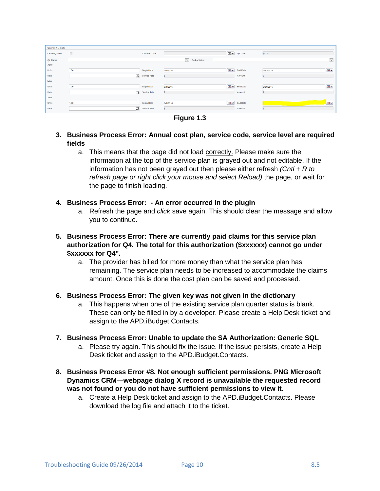| <b>Quarter 4 Details</b> |                           |                   |                     |                      |                       |           |                      |
|--------------------------|---------------------------|-------------------|---------------------|----------------------|-----------------------|-----------|----------------------|
| Cancel Quarter           | $\Box$                    | Canceled Date     |                     |                      | <b>IBB</b> v Q4 Total | \$0.00    |                      |
| Q4 Status                |                           |                   | $\vee$ Q4 PA Status |                      |                       |           | $\checkmark$         |
| April                    |                           |                   |                     |                      |                       |           |                      |
| Units                    | 1.00                      | <b>Begin Date</b> | 4/1/2016            | $\overline{\bullet}$ | <b>End Date</b>       | 4/30/2016 | $\overline{\bullet}$ |
| Rate                     | $\overline{\mathcal{L}}$  | Service Rate      |                     |                      | Amount                |           |                      |
| May                      |                           |                   |                     |                      |                       |           |                      |
| Units                    | 1.00                      | <b>Begin Date</b> | 5/1/2016            |                      | <b>TOV</b> End Date   | 5/31/2016 | <b>Tov</b>           |
| Rate                     | $\overline{\mathfrak{Q}}$ | Service Rate      |                     |                      | Amount                |           |                      |
| June                     |                           |                   |                     |                      |                       |           |                      |
| Units                    | 1.00                      | <b>Begin Date</b> | 6/1/2016            |                      | <b>Bov</b> End Date   |           | <b>B</b>             |
| Rate                     | $\overline{\mathcal{L}}$  | Service Rate      |                     |                      | Amount                |           |                      |
|                          |                           |                   |                     |                      |                       |           |                      |

**Figure 1.3**

- **3. Business Process Error: Annual cost plan, service code, service level are required fields**
	- a. This means that the page did not load correctly. Please make sure the information at the top of the service plan is grayed out and not editable. If the information has not been grayed out then please either refresh *(Cntl + R to refresh page or right click your mouse and select Reload)* the page, or wait for the page to finish loading.

### **4. Business Process Error: - An error occurred in the plugin**

- a. Refresh the page and *click* save again. This should clear the message and allow you to continue.
- **5. Business Process Error: There are currently paid claims for this service plan authorization for Q4. The total for this authorization (\$xxxxxx) cannot go under \$xxxxxx for Q4".**
	- a. The provider has billed for more money than what the service plan has remaining. The service plan needs to be increased to accommodate the claims amount. Once this is done the cost plan can be saved and processed.

### **6. Business Process Error: The given key was not given in the dictionary**

a. This happens when one of the existing service plan quarter status is blank. These can only be filled in by a developer. Please create a Help Desk ticket and assign to the APD.iBudget.Contacts.

### **7. Business Process Error: Unable to update the SA Authorization: Generic SQL**

- a. Please try again. This should fix the issue. If the issue persists, create a Help Desk ticket and assign to the APD.iBudget.Contacts.
- **8. Business Process Error #8. Not enough sufficient permissions. PNG Microsoft Dynamics CRM—webpage dialog X record is unavailable the requested record was not found or you do not have sufficient permissions to view it.**
	- a. Create a Help Desk ticket and assign to the APD.iBudget.Contacts. Please download the log file and attach it to the ticket.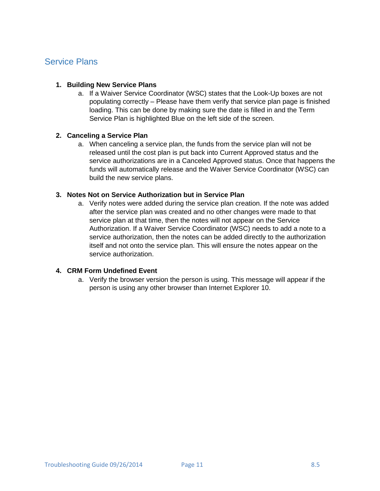## <span id="page-10-0"></span>Service Plans

## **1. Building New Service Plans**

a. If a Waiver Service Coordinator (WSC) states that the Look-Up boxes are not populating correctly – Please have them verify that service plan page is finished loading. This can be done by making sure the date is filled in and the Term Service Plan is highlighted Blue on the left side of the screen.

### **2. Canceling a Service Plan**

a. When canceling a service plan, the funds from the service plan will not be released until the cost plan is put back into Current Approved status and the service authorizations are in a Canceled Approved status. Once that happens the funds will automatically release and the Waiver Service Coordinator (WSC) can build the new service plans.

## **3. Notes Not on Service Authorization but in Service Plan**

a. Verify notes were added during the service plan creation. If the note was added after the service plan was created and no other changes were made to that service plan at that time, then the notes will not appear on the Service Authorization. If a Waiver Service Coordinator (WSC) needs to add a note to a service authorization, then the notes can be added directly to the authorization itself and not onto the service plan. This will ensure the notes appear on the service authorization.

## **4. CRM Form Undefined Event**

a. Verify the browser version the person is using. This message will appear if the person is using any other browser than Internet Explorer 10.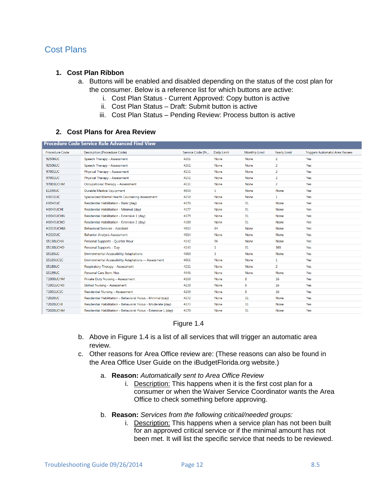## <span id="page-11-0"></span>Cost Plans

#### **1. Cost Plan Ribbon**

- a. Buttons will be enabled and disabled depending on the status of the cost plan for the consumer. Below is a reference list for which buttons are active:
	- i. Cost Plan Status Current Approved: Copy button is active
	- ii. Cost Plan Status Draft: Submit button is active
	- iii. Cost Plan Status Pending Review: Process button is active

#### **2. Cost Plans for Area Review**

| Procedure Code Service Rule Advanced Find View |                                                                 |                  |             |                      |                     |                                       |  |  |  |
|------------------------------------------------|-----------------------------------------------------------------|------------------|-------------|----------------------|---------------------|---------------------------------------|--|--|--|
| <b>Procedure Code</b>                          | <b>Description (Procedure Code)</b>                             | Service Code (Pr | Daily Limit | <b>Monthly Limit</b> | <b>Yearly Limit</b> | <b>Triggers Automatic Area Review</b> |  |  |  |
| 92506UC                                        | Speech Therapy - Assessment                                     | 4261             | None        | None                 | $\overline{a}$      | Yes                                   |  |  |  |
| 92506UC                                        | Speech Therapy - Assessment                                     | 4261             | None        | None                 | $\overline{a}$      | Yes                                   |  |  |  |
| 97001UC                                        | Physical Therapy - Assessment                                   | 4151             | <b>None</b> | None                 | $\overline{2}$      | Yes                                   |  |  |  |
| 97001UC                                        | Physical Therapy - Assessment                                   | 4151             | <b>None</b> | None                 | $\overline{2}$      | Yes                                   |  |  |  |
| 97003UCHM                                      | Occupational Therapy - Assessment                               | 4111             | <b>None</b> | None                 | $\overline{a}$      | Yes                                   |  |  |  |
| E1399UC                                        | Durable Medical Equipment                                       | 4050             | 5           | None                 | None                | Yes                                   |  |  |  |
| <b>H0031UC</b>                                 | Specialized Mental Health Counseling Assessment                 | 4250             | None        | None                 | 1                   | Yes                                   |  |  |  |
| <b>H0043UC</b>                                 | Residential Habilitation - Basic (day)                          | 4176             | None        | 31                   | <b>None</b>         | Yes                                   |  |  |  |
| H0043UCHI                                      | Residential Habilitation - Minimal (day)                        | 4177             | None        | 31                   | None                | Yes                                   |  |  |  |
| H0043UCHN                                      | Residential Habilitation - Extensive 1 (day)                    | 4179             | None        | 31                   | None                | Yes                                   |  |  |  |
| H0043UCHO                                      | Residential Habilitation - Extensive 2 (day)                    | 4180             | None        | 31                   | None                | Yes                                   |  |  |  |
| H2019UCHM                                      | <b>Behavioral Services - Assistant</b>                          | 4013             | 64          | None                 | None                | Yes                                   |  |  |  |
| <b>H2020UC</b>                                 | <b>Behavior Analysis Assessment</b>                             | 4014             | None        | None                 | None                | Yes                                   |  |  |  |
| S5130UCHA                                      | Personal Supports - Quarter Hour                                | 4142             | 96          | None                 | None                | Yes                                   |  |  |  |
| S5130UCHO                                      | Personal Supports - Day                                         | 4143             | 1           | 31                   | 365                 | Yes                                   |  |  |  |
| <b>S5165UC</b>                                 | <b>Environmental Accessibility Adaptations</b>                  | 4060             | 5           | None                 | None                | Yes                                   |  |  |  |
| S5165UCSC                                      | Environmental Accessibility Adaptations -- Assessment           | 4061             | <b>None</b> | None                 | 1                   | Yes                                   |  |  |  |
| <b>S5180UC</b>                                 | Respiratory Therapy - Assessment                                | 4211             | None        | None                 | $\overline{2}$      | Yes                                   |  |  |  |
| S5199UC                                        | Personal Care Item, Nos                                         | 4446             | None        | None                 | None                | Yes                                   |  |  |  |
| <b>T1000UCHM</b>                               | Private Duty Nursing - Assessment                               | 4160             | None        | 8                    | 16                  | Yes                                   |  |  |  |
| <b>T1001UCHO</b>                               | Skilled Nursing - Assessment                                    | 4230             | None        | 8                    | 16                  | Yes                                   |  |  |  |
| <b>T1001UCSC</b>                               | Residential Nursing - Assessment                                | 4200             | None        | 8                    | 16                  | Yes                                   |  |  |  |
| <b>T2020UC</b>                                 | Residential Habilitation - Behavioral Focus - Minimal (day)     | 4172             | None        | 31                   | None                | Yes                                   |  |  |  |
| <b>T2020UCHI</b>                               | Residential Habilitation - Behavioral Focus - Moderate (dav)    | 4173             | None        | 31                   | None                | Yes                                   |  |  |  |
| <b>T2020UCHM</b>                               | Residential Habilitation - Behavioral Focus - Extensive 1 (dav) | 4170             | None        | 31                   | None                | Yes                                   |  |  |  |
|                                                |                                                                 |                  |             |                      |                     |                                       |  |  |  |

### Figure 1.4

- b. Above in Figure 1.4 is a list of all services that will trigger an automatic area review.
- c. Other reasons for Area Office review are: (These reasons can also be found in the Area Office User Guide on the iBudgetFlorida.org website.)
	- a. **Reason:** *Automatically sent to Area Office Review* 
		- i. Description: This happens when it is the first cost plan for a consumer or when the Waiver Service Coordinator wants the Area Office to check something before approving.
	- b. **Reason:** *Services from the following critical/needed groups:* 
		- i. Description: This happens when a service plan has not been built for an approved critical service or if the minimal amount has not been met. It will list the specific service that needs to be reviewed.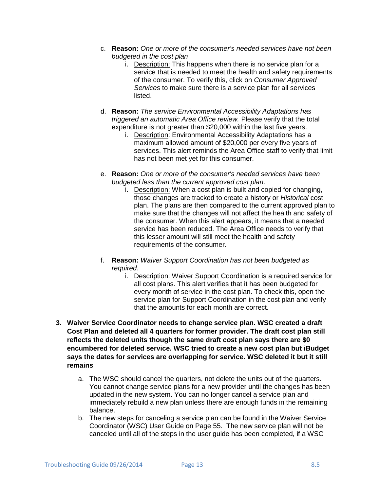- c. **Reason:** *One or more of the consumer's needed services have not been budgeted in the cost plan* 
	- i. Description: This happens when there is no service plan for a service that is needed to meet the health and safety requirements of the consumer. To verify this, click on *Consumer Approved Services* to make sure there is a service plan for all services listed.
- d. **Reason:** *The service Environmental Accessibility Adaptations has triggered an automatic Area Office review.* Please verify that the total expenditure is not greater than \$20,000 within the last five years.
	- i. Description: Environmental Accessibility Adaptations has a maximum allowed amount of \$20,000 per every five years of services. This alert reminds the Area Office staff to verify that limit has not been met yet for this consumer.
- e. **Reason:** *One or more of the consumer's needed services have been budgeted less than the current approved cost plan*.
	- i. Description: When a cost plan is built and copied for changing, those changes are tracked to create a history or *Historical* cost plan. The plans are then compared to the current approved plan to make sure that the changes will not affect the health and safety of the consumer. When this alert appears, it means that a needed service has been reduced. The Area Office needs to verify that this lesser amount will still meet the health and safety requirements of the consumer.
- f. **Reason:** *Waiver Support Coordination has not been budgeted as required*.
	- i. Description: Waiver Support Coordination is a required service for all cost plans. This alert verifies that it has been budgeted for every month of service in the cost plan. To check this, open the service plan for Support Coordination in the cost plan and verify that the amounts for each month are correct.
- **3. Waiver Service Coordinator needs to change service plan. WSC created a draft Cost Plan and deleted all 4 quarters for former provider. The draft cost plan still reflects the deleted units though the same draft cost plan says there are \$0 encumbered for deleted service. WSC tried to create a new cost plan but iBudget says the dates for services are overlapping for service. WSC deleted it but it still remains**
	- a. The WSC should cancel the quarters, not delete the units out of the quarters. You cannot change service plans for a new provider until the changes has been updated in the new system. You can no longer cancel a service plan and immediately rebuild a new plan unless there are enough funds in the remaining balance.
	- b. The new steps for canceling a service plan can be found in the Waiver Service Coordinator (WSC) User Guide on Page 55. The new service plan will not be canceled until all of the steps in the user guide has been completed, if a WSC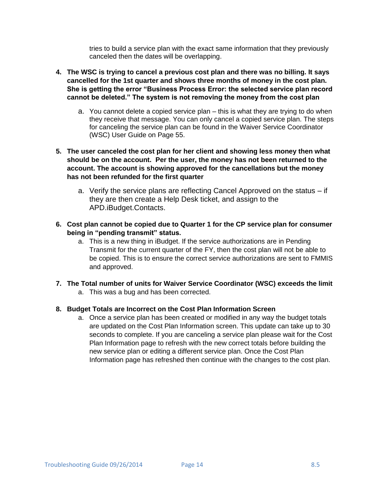tries to build a service plan with the exact same information that they previously canceled then the dates will be overlapping.

- **4. The WSC is trying to cancel a previous cost plan and there was no billing. It says cancelled for the 1st quarter and shows three months of money in the cost plan. She is getting the error "Business Process Error: the selected service plan record cannot be deleted." The system is not removing the money from the cost plan**
	- a. You cannot delete a copied service plan this is what they are trying to do when they receive that message. You can only cancel a copied service plan. The steps for canceling the service plan can be found in the Waiver Service Coordinator (WSC) User Guide on Page 55.
- **5. The user canceled the cost plan for her client and showing less money then what should be on the account. Per the user, the money has not been returned to the account. The account is showing approved for the cancellations but the money has not been refunded for the first quarter**
	- a. Verify the service plans are reflecting Cancel Approved on the status if they are then create a Help Desk ticket, and assign to the APD.iBudget.Contacts.
- **6. Cost plan cannot be copied due to Quarter 1 for the CP service plan for consumer being in "pending transmit" status.**
	- a. This is a new thing in iBudget. If the service authorizations are in Pending Transmit for the current quarter of the FY, then the cost plan will not be able to be copied. This is to ensure the correct service authorizations are sent to FMMIS and approved.
- **7. The Total number of units for Waiver Service Coordinator (WSC) exceeds the limit** 
	- a. This was a bug and has been corrected.

### **8. Budget Totals are Incorrect on the Cost Plan Information Screen**

a. Once a service plan has been created or modified in any way the budget totals are updated on the Cost Plan Information screen. This update can take up to 30 seconds to complete. If you are canceling a service plan please wait for the Cost Plan Information page to refresh with the new correct totals before building the new service plan or editing a different service plan. Once the Cost Plan Information page has refreshed then continue with the changes to the cost plan.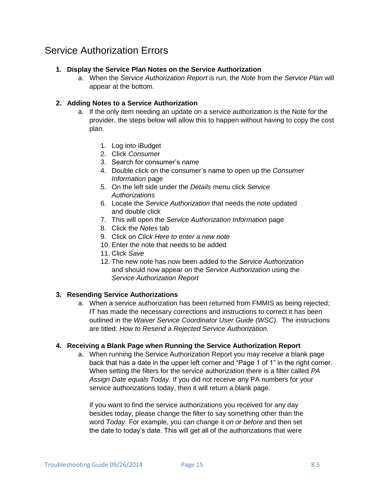## <span id="page-14-0"></span>Service Authorization Errors

### **1. Display the Service Plan Notes on the Service Authorization**

a. When the *Service Authorization Report* is run, the *Note* from the *Service Plan* will appear at the bottom.

## **2. Adding Notes to a Service Authorization**

- a. If the only item needing an update on a service authorization is the Note for the provider, the steps below will allow this to happen without having to copy the cost plan.
	- 1. Log into iBudget
	- 2. Click *Consumer*
	- 3. Search for consumer's name
	- 4. Double click on the consumer's name to open up the *Consumer Information* page
	- 5. On the left side under the *Details* menu click *Service Authorizations*
	- 6. Locate the *Service Authorization* that needs the note updated and double click
	- 7. This will open the *Service Authorization Information* page
	- 8. Click the *Notes* tab
	- 9. Click on *Click Here to enter a new note*
	- 10. Enter the note that needs to be added
	- 11. Click *Save*
	- 12. The new note has now been added to the *Service Authorization* and should now appear on the *Service Authorization* using the *Service Authorization Report*

### **3. Resending Service Authorizations**

a. When a service authorization has been returned from FMMIS as being rejected; IT has made the necessary corrections and instructions to correct it has been outlined in the *Waiver Service Coordinator User Guide (WSC)*. The instructions are titled: *How to Resend a Rejected Service Authorization.*

### **4. Receiving a Blank Page when Running the Service Authorization Report**

a. When running the Service Authorization Report you may receive a blank page back that has a date in the upper left corner and "Page 1 of 1" in the right corner. When setting the filters for the service authorization there is a filter called *PA Assign Date equals Today.* If you did not receive any PA numbers for your service authorizations today, then it will return a blank page.

If you want to find the service authorizations you received for any day besides today, please change the filter to say something other than the word *Today*. For example, you can change it *on or before* and then set the date to today's date. This will get all of the authorizations that were